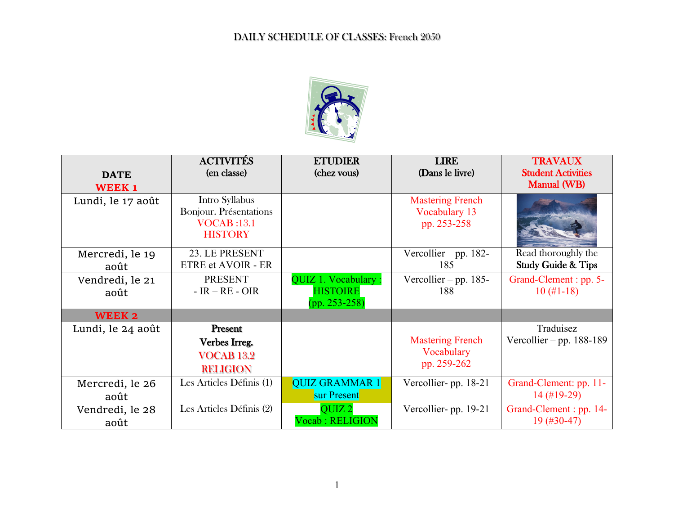

|                         | <b>ACTIVITÉS</b>                         | <b>ETUDIER</b>                                            | <b>LIRE</b>                              | <b>TRAVAUX</b>                                          |
|-------------------------|------------------------------------------|-----------------------------------------------------------|------------------------------------------|---------------------------------------------------------|
| <b>DATE</b>             | (en classe)                              | (chez vous)                                               | (Dans le livre)                          | <b>Student Activities</b>                               |
| <b>WEEK1</b>            |                                          |                                                           |                                          | <b>Manual (WB)</b>                                      |
| Lundi, le 17 août       | Intro Syllabus<br>Bonjour. Présentations |                                                           | <b>Mastering French</b><br>Vocabulary 13 |                                                         |
|                         | <b>VOCAB</b> :13.1<br><b>HISTORY</b>     |                                                           | pp. 253-258                              |                                                         |
|                         |                                          |                                                           |                                          |                                                         |
| Mercredi, le 19<br>août | 23. LE PRESENT<br>ETRE et AVOIR - ER     |                                                           | Vercollier – pp. 182-<br>185             | Read thoroughly the<br><b>Study Guide &amp; Tips</b>    |
| Vendredi, le 21<br>août | <b>PRESENT</b><br>$- IR - RE - OIR$      | QUIZ 1. Vocabulary:<br><b>HISTOIRE</b><br>$(pp. 253-258)$ | Vercollier – pp. $185-$<br>188           | Grand-Clement: pp. 5-<br>$10 \ (\#1-18)$                |
| WEEK 2                  |                                          |                                                           |                                          |                                                         |
| Lundi, le 24 août       | Present                                  |                                                           |                                          | Traduisez                                               |
|                         | Verbes Irreg.                            |                                                           | <b>Mastering French</b>                  | Vercollier – pp. $188-189$                              |
|                         | <b>VOCAB 13.2</b>                        |                                                           | Vocabulary                               |                                                         |
|                         | <b>RELIGION</b>                          |                                                           | pp. 259-262                              |                                                         |
| Mercredi, le 26<br>août | Les Articles Définis (1)                 | <b>QUIZ GRAMMAR 1</b><br>sur Present                      | Vercollier-pp. 18-21                     | Grand-Clement: pp. 11-<br>$14 \left( \#19 - 29 \right)$ |
| Vendredi, le 28<br>août | Les Articles Définis (2)                 | <b>QUIZ 2</b><br><b>Vocab: RELIGION</b>                   | Vercollier-pp. 19-21                     | Grand-Clement : pp. 14-<br>$19($ #30-47)                |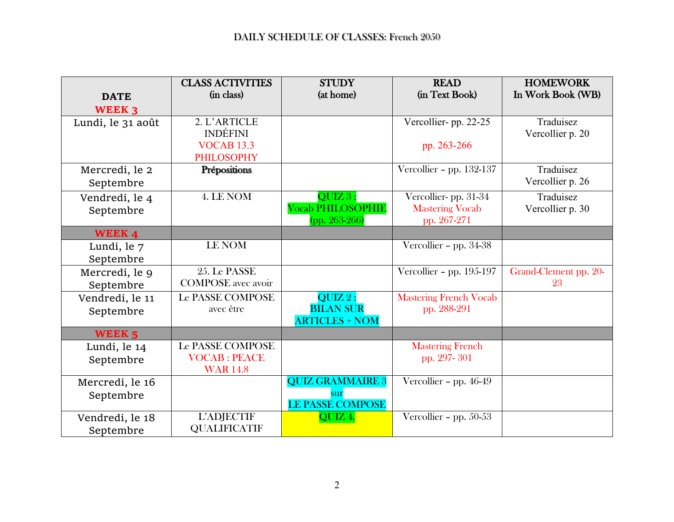|                   | <b>CLASS ACTIVITIES</b>   | <b>STUDY</b>             | <b>READ</b>                   | <b>HOMEWORK</b>       |
|-------------------|---------------------------|--------------------------|-------------------------------|-----------------------|
| <b>DATE</b>       | (in class)                | (at home)                | (in Text Book)                | In Work Book (WB)     |
| <b>WEEK 3</b>     |                           |                          |                               |                       |
| Lundi, le 31 août | 2. L'ARTICLE              |                          | Vercollier-pp. 22-25          | Traduisez             |
|                   | <b>INDÉFINI</b>           |                          |                               | Vercollier p. 20      |
|                   | <b>VOCAB 13.3</b>         |                          | pp. 263-266                   |                       |
|                   | <b>PHILOSOPHY</b>         |                          |                               |                       |
| Mercredi, le 2    | Prépositions              |                          | Vercollier - pp. 132-137      | Traduisez             |
| Septembre         |                           |                          |                               | Vercollier p. 26      |
| Vendredi, le 4    | 4. LE NOM                 | QUIZ 3:                  | Vercollier-pp. 31-34          | Traduisez             |
| Septembre         |                           | <b>Vocab PHILOSOPHIE</b> | <b>Mastering Vocab</b>        | Vercollier p. 30      |
|                   |                           | (pp. 263-266)            | pp. 267-271                   |                       |
| WEEK 4            |                           |                          |                               |                       |
| Lundi, le 7       | <b>LE NOM</b>             |                          | Vercollier - pp. 34-38        |                       |
| Septembre         |                           |                          |                               |                       |
| Mercredi, le 9    | 25. Le PASSE              |                          | Vercollier - pp. $195-197$    | Grand-Clement pp. 20- |
| Septembre         | <b>COMPOSE</b> avec avoir |                          |                               | 23                    |
| Vendredi, le 11   | <b>Le PASSE COMPOSE</b>   | $QUIZ$ ?:                | <b>Mastering French Vocab</b> |                       |
| Septembre         | avec être                 | <b>BILAN SUR</b>         | pp. 288-291                   |                       |
|                   |                           | <b>ARTICLES + NOM</b>    |                               |                       |
| WEEK <sub>5</sub> |                           |                          |                               |                       |
| Lundi, le 14      | <b>Le PASSE COMPOSE</b>   |                          | <b>Mastering French</b>       |                       |
| Septembre         | <b>VOCAB: PEACE</b>       |                          | pp. 297-301                   |                       |
|                   | <b>WAR 14.8</b>           |                          |                               |                       |
| Mercredi, le 16   |                           | <b>QUIZ GRAMMAIRE 3</b>  | Vercollier - pp. $46-49$      |                       |
| Septembre         |                           | sur                      |                               |                       |
|                   | <b>L'ADJECTIF</b>         | <b>LE PASSE COMPOSE</b>  |                               |                       |
| Vendredi, le 18   | <b>QUALIFICATIF</b>       | QUIZ 4.                  | Vercollier - pp. 50-53        |                       |
| Septembre         |                           |                          |                               |                       |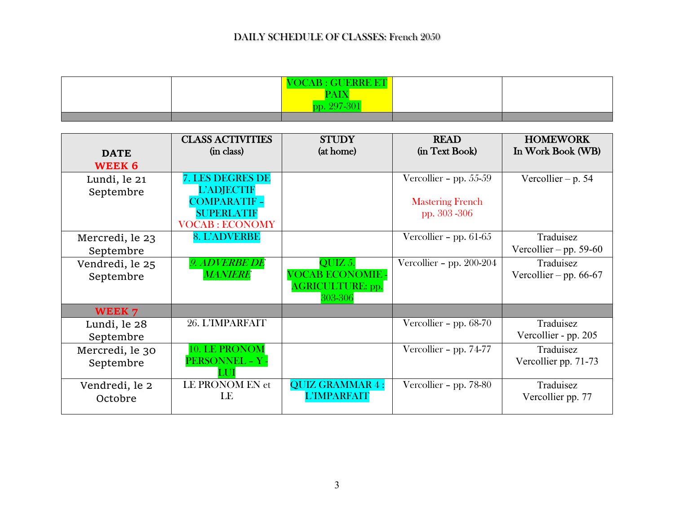|  | <b>VOCAB: GUERRE ET</b> |  |
|--|-------------------------|--|
|  | <u>Tan a bhan an s</u>  |  |
|  | nn                      |  |
|  |                         |  |

|                 | <b>CLASS ACTIVITIES</b> | <b>STUDY</b>                   | <b>READ</b>                | <b>HOMEWORK</b>          |
|-----------------|-------------------------|--------------------------------|----------------------------|--------------------------|
| <b>DATE</b>     | (in class)              | (at home)                      | (in Text Book)             | In Work Book (WB)        |
| <b>WEEK 6</b>   |                         |                                |                            |                          |
| Lundi, le 21    | <b>7. LES DEGRES DE</b> |                                | Vercollier - pp. $55-59$   | Vercollier – p. $54$     |
| Septembre       | <b>L'ADJECTIF</b>       |                                |                            |                          |
|                 | <b>COMPARATIF</b>       |                                | <b>Mastering French</b>    |                          |
|                 | <b>SUPERLATIF</b>       |                                | pp. 303 - 306              |                          |
|                 | <b>VOCAB: ECONOMY</b>   |                                |                            |                          |
| Mercredi, le 23 | <b>8. L'ADVERBE</b>     |                                | Vercollier - pp. $61-65$   | Traduisez                |
| Septembre       |                         |                                |                            | Vercollier – pp. 59-60   |
| Vendredi, le 25 | <b>9. ADVERBE DE</b>    | QUIZ 5.                        | Vercollier - pp. $200-204$ | Traduisez                |
| Septembre       | <b>MANIERE</b>          | <b><i>VOCAB ECONOMIE -</i></b> |                            | Vercollier – pp. $66-67$ |
|                 |                         | <b>AGRICULTURE: pp.</b>        |                            |                          |
|                 |                         | 303-306                        |                            |                          |
| WEEK 7          |                         |                                |                            |                          |
| Lundi, le 28    | 26. L'IMPARFAIT         |                                | Vercollier - pp. $68-70$   | Traduisez                |
| Septembre       |                         |                                |                            | Vercollier - pp. 205     |
| Mercredi, le 30 | 10. LE PRONOM           |                                | Vercollier - pp. 74-77     | Traduisez                |
| Septembre       | PERSONNEL - Y -         |                                |                            | Vercollier pp. 71-73     |
|                 |                         |                                |                            |                          |
| Vendredi, le 2  | LE PRONOM EN et         | <b>QUIZ GRAMMAR 4:</b>         | Vercollier - pp. 78-80     | Traduisez                |
| Octobre         | LE                      | <b>L'IMPARFAIT</b>             |                            | Vercollier pp. 77        |
|                 |                         |                                |                            |                          |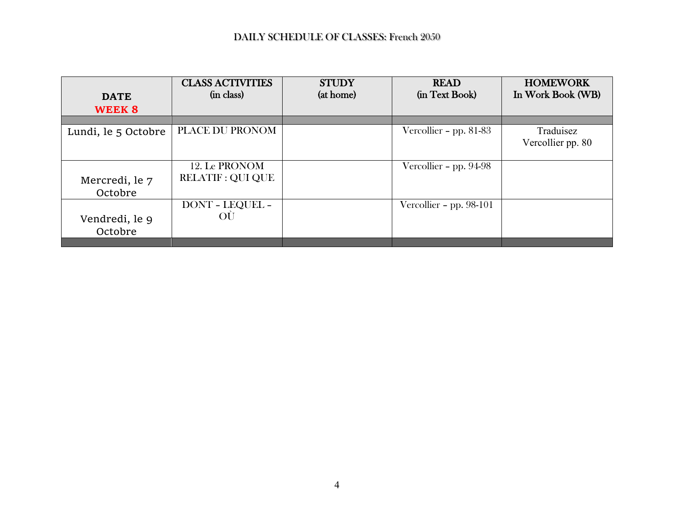|                     | <b>CLASS ACTIVITIES</b>  | <b>STUDY</b> | <b>READ</b>               | <b>HOMEWORK</b>   |
|---------------------|--------------------------|--------------|---------------------------|-------------------|
| <b>DATE</b>         | (in class)               | (at home)    | (in Text Book)            | In Work Book (WB) |
| WEEK 8              |                          |              |                           |                   |
|                     |                          |              |                           |                   |
| Lundi, le 5 Octobre | <b>PLACE DU PRONOM</b>   |              | Vercollier - pp. $81-83$  | Traduisez         |
|                     |                          |              |                           | Vercollier pp. 80 |
|                     |                          |              |                           |                   |
|                     | 12. Le PRONOM            |              | Vercollier - pp. $94-98$  |                   |
| Mercredi, le 7      | <b>RELATIF : QUI QUE</b> |              |                           |                   |
| Octobre             |                          |              |                           |                   |
|                     | <b>DONT - LEQUEL -</b>   |              | Vercollier - pp. $98-101$ |                   |
| Vendredi, le 9      | OU                       |              |                           |                   |
| Octobre             |                          |              |                           |                   |
|                     |                          |              |                           |                   |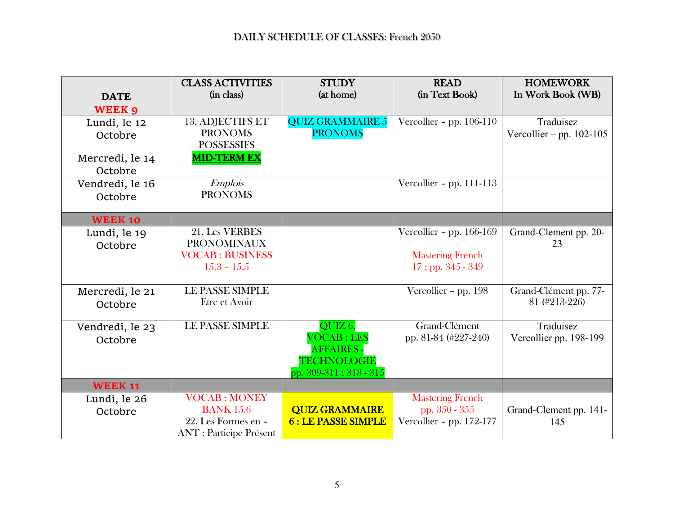|                            | <b>CLASS ACTIVITIES</b>        | <b>STUDY</b>              | <b>READ</b>                | <b>HOMEWORK</b>            |
|----------------------------|--------------------------------|---------------------------|----------------------------|----------------------------|
| <b>DATE</b>                | (in class)                     | (at home)                 | (in Text Book)             | In Work Book (WB)          |
| <b>WEEK 9</b>              |                                |                           |                            |                            |
| Lundi, le 12               | <b>13. ADJECTIFS ET</b>        | <b>QUIZ GRAMMAIRE 5</b>   | Vercollier - pp. $106-110$ | Traduisez                  |
| Octobre                    | <b>PRONOMS</b>                 | <b>PRONOMS</b>            |                            | Vercollier – pp. $102-105$ |
|                            | <b>POSSESSIFS</b>              |                           |                            |                            |
| Mercredi, le 14            | <b>MID-TERM EX</b>             |                           |                            |                            |
| Octobre                    |                                |                           |                            |                            |
| Vendredi, le 16            | <b>Emplois</b>                 |                           | Vercollier - pp. $111-113$ |                            |
| Octobre                    | <b>PRONOMS</b>                 |                           |                            |                            |
|                            |                                |                           |                            |                            |
| <b>WEEK 10</b>             |                                |                           |                            |                            |
| Lundi, le 19               | 21. Les VERBES                 |                           | Vercollier - pp. $166-169$ | Grand-Clement pp. 20-      |
| Octobre                    | <b>PRONOMINAUX</b>             |                           |                            | 23                         |
|                            | <b>VOCAB: BUSINESS</b>         |                           | <b>Mastering French</b>    |                            |
|                            | $15.3 - 15.5$                  |                           | $17:$ pp. $345 - 349$      |                            |
|                            | <b>LE PASSE SIMPLE</b>         |                           | Vercollier - pp. 198       | Grand-Clément pp. 77-      |
| Mercredi, le 21<br>Octobre | Etre et Avoir                  |                           |                            | 81 (#213-226)              |
|                            |                                |                           |                            |                            |
| Vendredi, le 23            | <b>LE PASSE SIMPLE</b>         | QUIZ 6.                   | Grand-Clément              | Traduisez                  |
| Octobre                    |                                | <b>VOCAB: LES</b>         | pp. 81-84 (#227-240)       | Vercollier pp. 198-199     |
|                            |                                | <b>AFFAIRES -</b>         |                            |                            |
|                            |                                | <b>TECHNOLOGIE</b>        |                            |                            |
|                            |                                | pp. 309-311; 313 - 315    |                            |                            |
| <b>WEEK 11</b>             |                                |                           |                            |                            |
| Lundi, le 26               | <b>VOCAB: MONEY</b>            |                           | <b>Mastering French</b>    |                            |
| Octobre                    | <b>BANK 15.6</b>               | <b>QUIZ GRAMMAIRE</b>     | pp. 350 - 355              | Grand-Clement pp. 141-     |
|                            | 22. Les Formes en -            | <b>6: LE PASSE SIMPLE</b> | Vercollier - pp. 172-177   | 145                        |
|                            | <b>ANT</b> : Participe Présent |                           |                            |                            |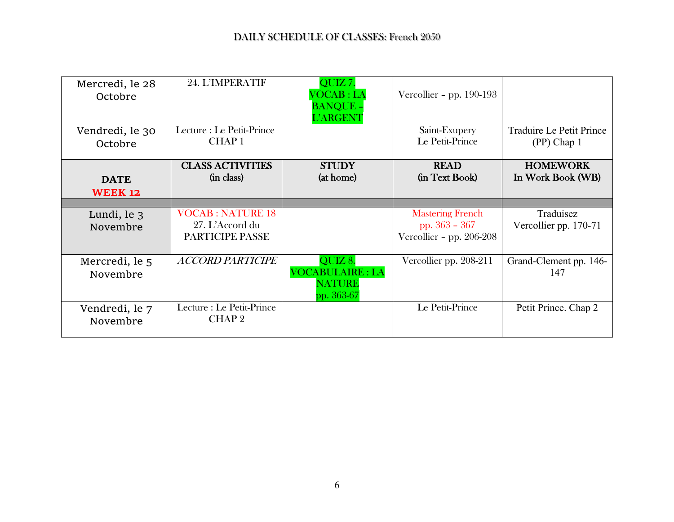| Mercredi, le 28<br>Octobre    | 24. L'IMPERATIF                                               | QUIZ7.<br>VOCAB : LA<br><b>BANQUE -</b><br><b>L'ARGENT</b>       | Vercollier - pp. $190-193$                                               |                                         |
|-------------------------------|---------------------------------------------------------------|------------------------------------------------------------------|--------------------------------------------------------------------------|-----------------------------------------|
| Vendredi, le 30<br>Octobre    | Lecture : Le Petit-Prince<br><b>CHAP1</b>                     |                                                                  | Saint-Exupery<br>Le Petit-Prince                                         | Traduire Le Petit Prince<br>(PP) Chap 1 |
| <b>DATE</b><br><b>WEEK 12</b> | <b>CLASS ACTIVITIES</b><br>(in class)                         | <b>STUDY</b><br>(at home)                                        | <b>READ</b><br>(in Text Book)                                            | <b>HOMEWORK</b><br>In Work Book (WB)    |
|                               |                                                               |                                                                  |                                                                          |                                         |
| Lundi, le 3<br>Novembre       | <b>VOCAB: NATURE 18</b><br>27. L'Accord du<br>PARTICIPE PASSE |                                                                  | <b>Mastering French</b><br>pp. $363 - 367$<br>Vercollier - pp. $206-208$ | Traduisez<br>Vercollier pp. 170-71      |
| Mercredi, le 5<br>Novembre    | <b>ACCORD PARTICIPE</b>                                       | QUIZ 8.<br><b>VOCABULAIRE: LA</b><br><b>NATURE</b><br>pp. 363-67 | Vercollier pp. 208-211                                                   | Grand-Clement pp. 146-<br>147           |
| Vendredi, le 7<br>Novembre    | Lecture : Le Petit-Prince<br>CHAP <sub>2</sub>                |                                                                  | Le Petit-Prince                                                          | Petit Prince. Chap 2                    |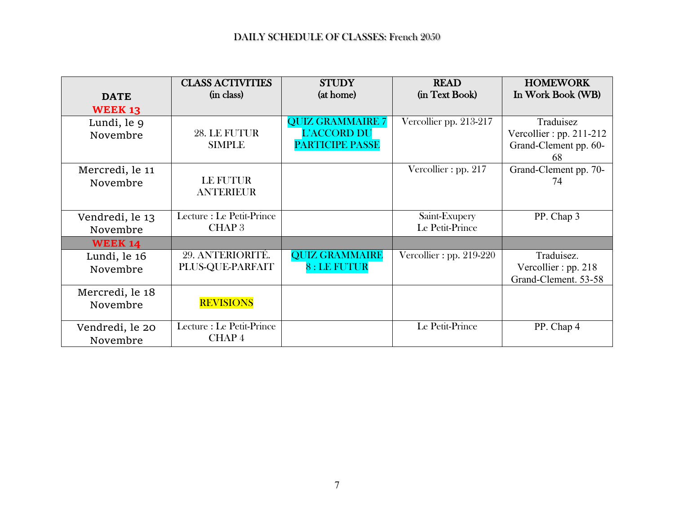|                             | <b>CLASS ACTIVITIES</b>                   | <b>STUDY</b>                                                     | <b>READ</b>                      | <b>HOMEWORK</b>                                                        |
|-----------------------------|-------------------------------------------|------------------------------------------------------------------|----------------------------------|------------------------------------------------------------------------|
| <b>DATE</b>                 | (in class)                                | (at home)                                                        | (in Text Book)                   | In Work Book (WB)                                                      |
| <b>WEEK 13</b>              |                                           |                                                                  |                                  |                                                                        |
| Lundi, le 9<br>Novembre     | 28. LE FUTUR<br><b>SIMPLE</b>             | <b>QUIZ GRAMMAIRE 7</b><br>L'ACCORD DU<br><b>PARTICIPE PASSE</b> | Vercollier pp. 213-217           | Traduisez<br>Vercollier : pp. $211-212$<br>Grand-Clement pp. 60-<br>68 |
| Mercredi, le 11<br>Novembre | LE FUTUR<br><b>ANTERIEUR</b>              |                                                                  | Vercollier: pp. 217              | Grand-Clement pp. 70-<br>74                                            |
| Vendredi, le 13<br>Novembre | Lecture : Le Petit-Prince<br><b>CHAP3</b> |                                                                  | Saint-Exupery<br>Le Petit-Prince | PP. Chap 3                                                             |
| <b>WEEK 14</b>              |                                           |                                                                  |                                  |                                                                        |
| Lundi, le 16<br>Novembre    | 29. ANTERIORITÉ.<br>PLUS-QUE-PARFAIT      | <b>QUIZ GRAMMAIRE</b><br>8 : LE FUTUR                            | Vercollier : pp. $219-220$       | Traduisez.<br>Vercollier: pp. 218<br>Grand-Clement. 53-58              |
| Mercredi, le 18<br>Novembre | <b>REVISIONS</b>                          |                                                                  |                                  |                                                                        |
| Vendredi, le 20<br>Novembre | Lecture : Le Petit-Prince<br>CHAP4        |                                                                  | Le Petit-Prince                  | PP. Chap 4                                                             |